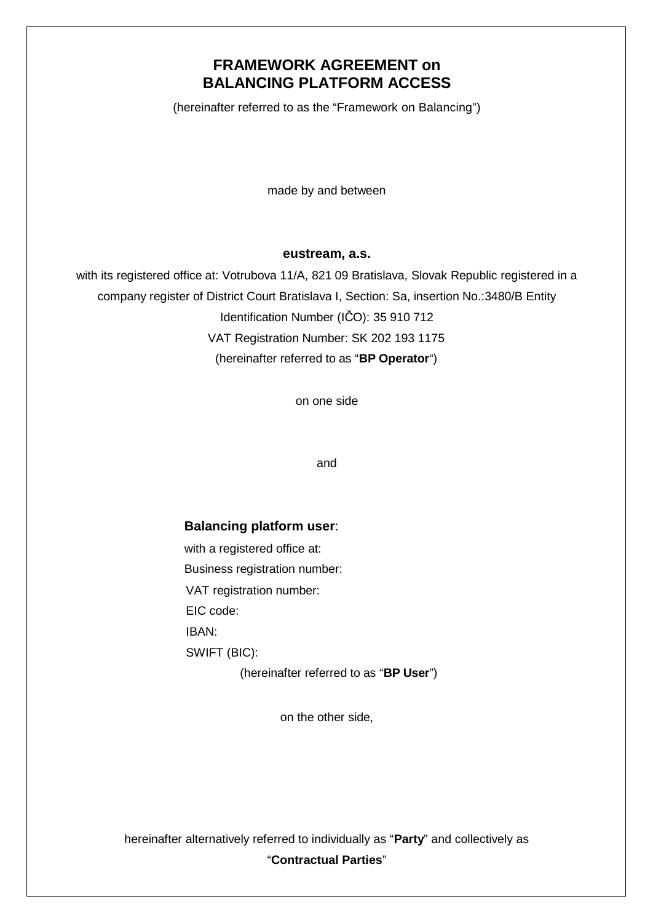## **FRAMEWORK AGREEMENT on BALANCING PLATFORM ACCESS**

(hereinafter referred to as the "Framework on Balancing")

made by and between

#### **eustream, a.s.**

with its registered office at: Votrubova 11/A, 821 09 Bratislava, Slovak Republic registered in a company register of District Court Bratislava I, Section: Sa, insertion No.:3480/B Entity Identification Number (IČO): 35 910 712 VAT Registration Number: SK 202 193 1175 (hereinafter referred to as "**BP Operator**")

on one side

and

### **Balancing platform user**:

with a registered office at: Business registration number: VAT registration number: EIC code: IBAN: SWIFT (BIC):

(hereinafter referred to as "**BP User**")

on the other side,

hereinafter alternatively referred to individually as "**Party**" and collectively as "**Contractual Parties**"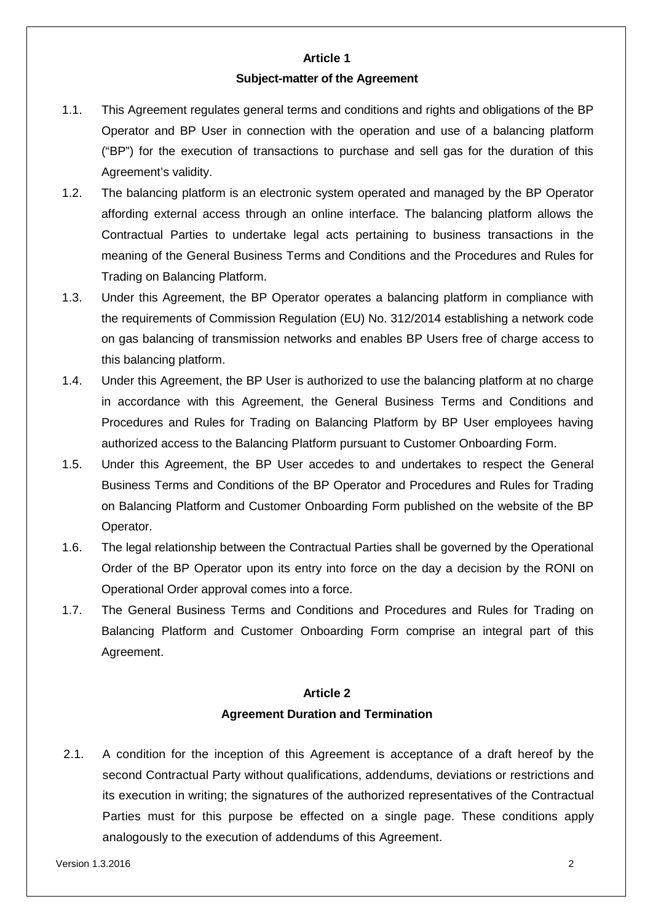# **Article 1**

### **Subject-matter of the Agreement**

- 1.1. This Agreement regulates general terms and conditions and rights and obligations of the BP Operator and BP User in connection with the operation and use of a balancing platform ("BP") for the execution of transactions to purchase and sell gas for the duration of this Agreement's validity.
- 1.2. The balancing platform is an electronic system operated and managed by the BP Operator affording external access through an online interface. The balancing platform allows the Contractual Parties to undertake legal acts pertaining to business transactions in the meaning of the General Business Terms and Conditions and the Procedures and Rules for Trading on Balancing Platform.
- 1.3. Under this Agreement, the BP Operator operates a balancing platform in compliance with the requirements of Commission Regulation (EU) No. 312/2014 establishing a network code on gas balancing of transmission networks and enables BP Users free of charge access to this balancing platform.
- 1.4. Under this Agreement, the BP User is authorized to use the balancing platform at no charge in accordance with this Agreement, the General Business Terms and Conditions and Procedures and Rules for Trading on Balancing Platform by BP User employees having authorized access to the Balancing Platform pursuant to Customer Onboarding Form.
- 1.5. Under this Agreement, the BP User accedes to and undertakes to respect the General Business Terms and Conditions of the BP Operator and Procedures and Rules for Trading on Balancing Platform and Customer Onboarding Form published on the website of the BP Operator.
- 1.6. The legal relationship between the Contractual Parties shall be governed by the Operational Order of the BP Operator upon its entry into force on the day a decision by the RONI on Operational Order approval comes into a force.
- 1.7. The General Business Terms and Conditions and Procedures and Rules for Trading on Balancing Platform and Customer Onboarding Form comprise an integral part of this Agreement.

# **Article 2 Agreement Duration and Termination**

2.1. A condition for the inception of this Agreement is acceptance of a draft hereof by the second Contractual Party without qualifications, addendums, deviations or restrictions and its execution in writing; the signatures of the authorized representatives of the Contractual Parties must for this purpose be effected on a single page. These conditions apply analogously to the execution of addendums of this Agreement.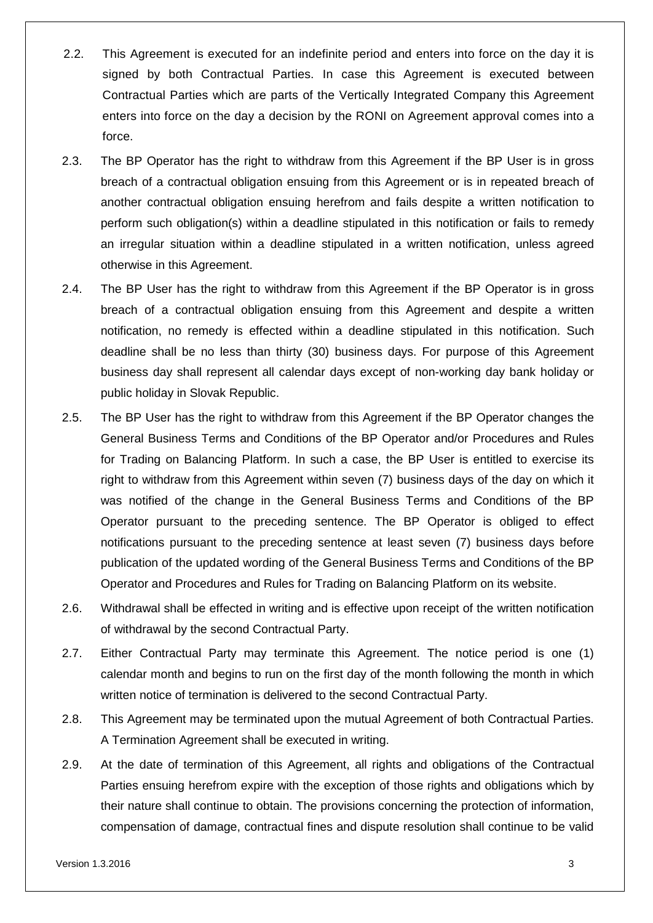- 2.2. This Agreement is executed for an indefinite period and enters into force on the day it is signed by both Contractual Parties. In case this Agreement is executed between Contractual Parties which are parts of the Vertically Integrated Company this Agreement enters into force on the day a decision by the RONI on Agreement approval comes into a force.
- 2.3. The BP Operator has the right to withdraw from this Agreement if the BP User is in gross breach of a contractual obligation ensuing from this Agreement or is in repeated breach of another contractual obligation ensuing herefrom and fails despite a written notification to perform such obligation(s) within a deadline stipulated in this notification or fails to remedy an irregular situation within a deadline stipulated in a written notification, unless agreed otherwise in this Agreement.
- 2.4. The BP User has the right to withdraw from this Agreement if the BP Operator is in gross breach of a contractual obligation ensuing from this Agreement and despite a written notification, no remedy is effected within a deadline stipulated in this notification. Such deadline shall be no less than thirty (30) business days. For purpose of this Agreement business day shall represent all calendar days except of non-working day bank holiday or public holiday in Slovak Republic.
- 2.5. The BP User has the right to withdraw from this Agreement if the BP Operator changes the General Business Terms and Conditions of the BP Operator and/or Procedures and Rules for Trading on Balancing Platform. In such a case, the BP User is entitled to exercise its right to withdraw from this Agreement within seven (7) business days of the day on which it was notified of the change in the General Business Terms and Conditions of the BP Operator pursuant to the preceding sentence. The BP Operator is obliged to effect notifications pursuant to the preceding sentence at least seven (7) business days before publication of the updated wording of the General Business Terms and Conditions of the BP Operator and Procedures and Rules for Trading on Balancing Platform on its website.
- 2.6. Withdrawal shall be effected in writing and is effective upon receipt of the written notification of withdrawal by the second Contractual Party.
- 2.7. Either Contractual Party may terminate this Agreement. The notice period is one (1) calendar month and begins to run on the first day of the month following the month in which written notice of termination is delivered to the second Contractual Party.
- 2.8. This Agreement may be terminated upon the mutual Agreement of both Contractual Parties. A Termination Agreement shall be executed in writing.
- 2.9. At the date of termination of this Agreement, all rights and obligations of the Contractual Parties ensuing herefrom expire with the exception of those rights and obligations which by their nature shall continue to obtain. The provisions concerning the protection of information, compensation of damage, contractual fines and dispute resolution shall continue to be valid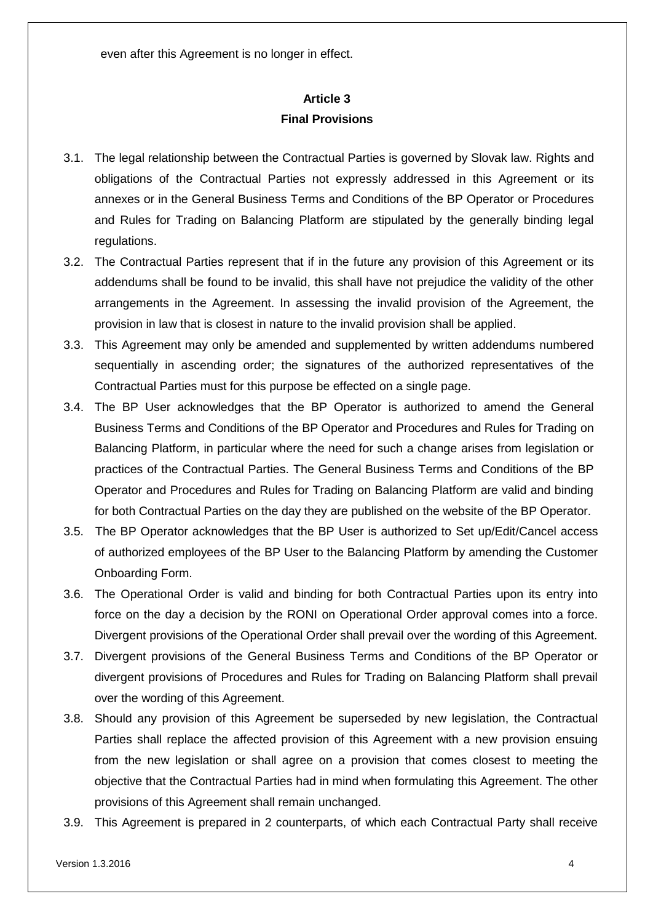even after this Agreement is no longer in effect.

### **Article 3 Final Provisions**

- 3.1. The legal relationship between the Contractual Parties is governed by Slovak law. Rights and obligations of the Contractual Parties not expressly addressed in this Agreement or its annexes or in the General Business Terms and Conditions of the BP Operator or Procedures and Rules for Trading on Balancing Platform are stipulated by the generally binding legal regulations.
- 3.2. The Contractual Parties represent that if in the future any provision of this Agreement or its addendums shall be found to be invalid, this shall have not prejudice the validity of the other arrangements in the Agreement. In assessing the invalid provision of the Agreement, the provision in law that is closest in nature to the invalid provision shall be applied.
- 3.3. This Agreement may only be amended and supplemented by written addendums numbered sequentially in ascending order; the signatures of the authorized representatives of the Contractual Parties must for this purpose be effected on a single page.
- 3.4. The BP User acknowledges that the BP Operator is authorized to amend the General Business Terms and Conditions of the BP Operator and Procedures and Rules for Trading on Balancing Platform, in particular where the need for such a change arises from legislation or practices of the Contractual Parties. The General Business Terms and Conditions of the BP Operator and Procedures and Rules for Trading on Balancing Platform are valid and binding for both Contractual Parties on the day they are published on the website of the BP Operator.
- 3.5. The BP Operator acknowledges that the BP User is authorized to Set up/Edit/Cancel access of authorized employees of the BP User to the Balancing Platform by amending the Customer Onboarding Form.
- 3.6. The Operational Order is valid and binding for both Contractual Parties upon its entry into force on the day a decision by the RONI on Operational Order approval comes into a force. Divergent provisions of the Operational Order shall prevail over the wording of this Agreement.
- 3.7. Divergent provisions of the General Business Terms and Conditions of the BP Operator or divergent provisions of Procedures and Rules for Trading on Balancing Platform shall prevail over the wording of this Agreement.
- 3.8. Should any provision of this Agreement be superseded by new legislation, the Contractual Parties shall replace the affected provision of this Agreement with a new provision ensuing from the new legislation or shall agree on a provision that comes closest to meeting the objective that the Contractual Parties had in mind when formulating this Agreement. The other provisions of this Agreement shall remain unchanged.
- 3.9. This Agreement is prepared in 2 counterparts, of which each Contractual Party shall receive